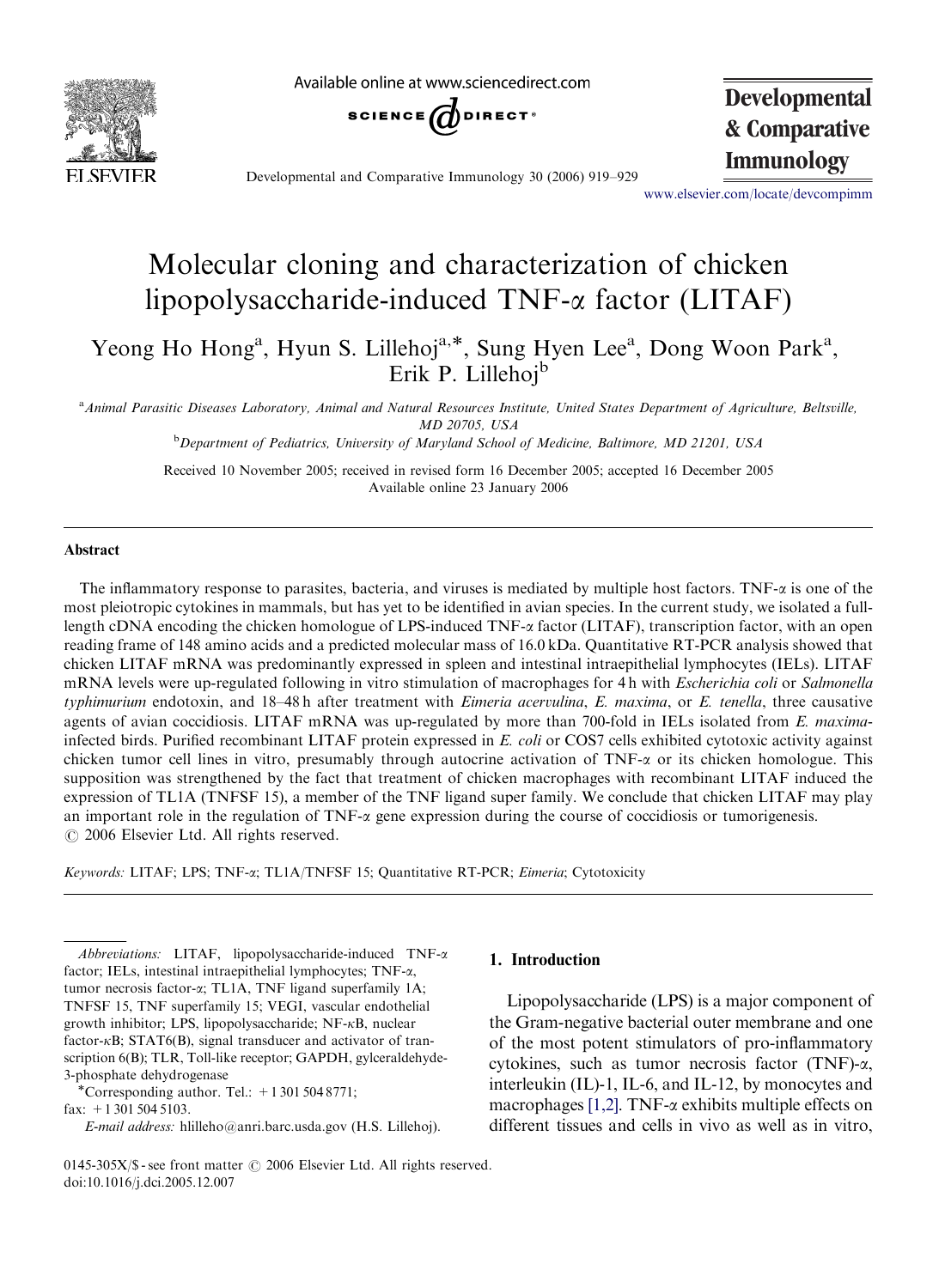

Available online at www.sciencedirect.com



**Developmental & Comparative**

**Immunology** Developmental and Comparative Immunology 30 (2006) 919–929

<www.elsevier.com/locate/devcompimm>

# Molecular cloning and characterization of chicken lipopolysaccharide-induced TNF-a factor (LITAF)

Yeong Ho Hong<sup>a</sup>, Hyun S. Lillehoj<sup>a,\*</sup>, Sung Hyen Lee<sup>a</sup>, Dong Woon Park<sup>a</sup>, Erik P. Lillehoj<sup>b</sup>

a<br>Animal Parasitic Diseases Laboratory, Animal and Natural Resources Institute, United States Department of Agriculture, Beltsville, MD 20705, USA

<sup>b</sup>Department of Pediatrics, University of Maryland School of Medicine, Baltimore, MD 21201, USA

Received 10 November 2005; received in revised form 16 December 2005; accepted 16 December 2005 Available online 23 January 2006

#### Abstract

The inflammatory response to parasites, bacteria, and viruses is mediated by multiple host factors. TNF-a is one of the most pleiotropic cytokines in mammals, but has yet to be identified in avian species. In the current study, we isolated a fulllength cDNA encoding the chicken homologue of LPS-induced TNF- $\alpha$  factor (LITAF), transcription factor, with an open reading frame of 148 amino acids and a predicted molecular mass of 16.0 kDa. Quantitative RT-PCR analysis showed that chicken LITAF mRNA was predominantly expressed in spleen and intestinal intraepithelial lymphocytes (IELs). LITAF mRNA levels were up-regulated following in vitro stimulation of macrophages for 4 h with Escherichia coli or Salmonella typhimurium endotoxin, and 18–48 h after treatment with *Eimeria acervulina*, *E. maxima*, or *E. tenella*, three causative agents of avian coccidiosis. LITAF mRNA was up-regulated by more than 700-fold in IELs isolated from E. maximainfected birds. Purified recombinant LITAF protein expressed in E. coli or COS7 cells exhibited cytotoxic activity against chicken tumor cell lines in vitro, presumably through autocrine activation of TNF-a or its chicken homologue. This supposition was strengthened by the fact that treatment of chicken macrophages with recombinant LITAF induced the expression of TL1A (TNFSF 15), a member of the TNF ligand super family. We conclude that chicken LITAF may play an important role in the regulation of TNF- $\alpha$  gene expression during the course of coccidiosis or tumorigenesis.  $O$  2006 Elsevier Ltd. All rights reserved.

Keywords: LITAF; LPS; TNF-a; TL1A/TNFSF 15; Quantitative RT-PCR; Eimeria; Cytotoxicity

Abbreviations: LITAF, lipopolysaccharide-induced TNF- $\alpha$ factor; IELs, intestinal intraepithelial lymphocytes; TNF-a, tumor necrosis factor-a; TL1A, TNF ligand superfamily 1A; TNFSF 15, TNF superfamily 15; VEGI, vascular endothelial growth inhibitor; LPS, lipopolysaccharide; NF-kB, nuclear factor- $\kappa$ B; STAT6(B), signal transducer and activator of transcription 6(B); TLR, Toll-like receptor; GAPDH, gylceraldehyde-3-phosphate dehydrogenase<br>
\*Corresponding author. Tel.:  $+13015048771$ ;

fax: +1 301 504 5103.

E-mail address: hlilleho@anri.barc.usda.gov (H.S. Lillehoj).

Lipopolysaccharide (LPS) is a major component of the Gram-negative bacterial outer membrane and one of the most potent stimulators of pro-inflammatory cytokines, such as tumor necrosis factor (TNF)-a, interleukin (IL)-1, IL-6, and IL-12, by monocytes and macrophages  $[1,2]$ . TNF- $\alpha$  exhibits multiple effects on different tissues and cells in vivo as well as in vitro,

0145-305X/\$ - see front matter  $\odot$  2006 Elsevier Ltd. All rights reserved. doi:10.1016/j.dci.2005.12.007

<sup>1.</sup> Introduction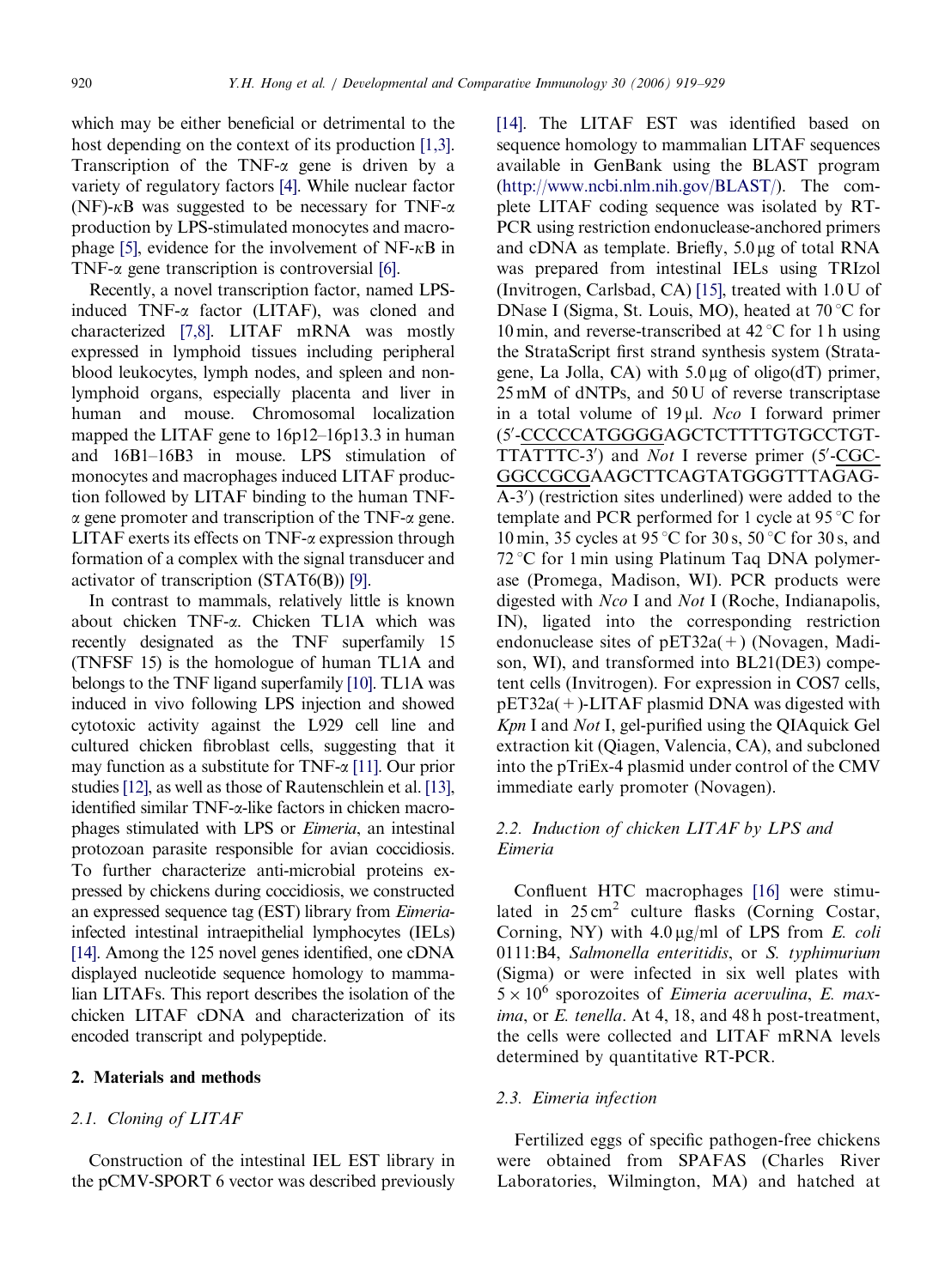which may be either beneficial or detrimental to the host depending on the context of its production [\[1,3\].](#page-9-0) Transcription of the TNF- $\alpha$  gene is driven by a variety of regulatory factors [\[4\]](#page-9-0). While nuclear factor  $(NF)$ - $\kappa$ B was suggested to be necessary for TNF- $\alpha$ production by LPS-stimulated monocytes and macro-phage [\[5\]](#page-9-0), evidence for the involvement of  $NF-\kappa B$  in TNF- $\alpha$  gene transcription is controversial [\[6\]](#page-9-0).

Recently, a novel transcription factor, named LPSinduced TNF-a factor (LITAF), was cloned and characterized [\[7,8\]](#page-9-0). LITAF mRNA was mostly expressed in lymphoid tissues including peripheral blood leukocytes, lymph nodes, and spleen and nonlymphoid organs, especially placenta and liver in human and mouse. Chromosomal localization mapped the LITAF gene to 16p12–16p13.3 in human and 16B1–16B3 in mouse. LPS stimulation of monocytes and macrophages induced LITAF production followed by LITAF binding to the human TNF- $\alpha$  gene promoter and transcription of the TNF- $\alpha$  gene. LITAF exerts its effects on TNF- $\alpha$  expression through formation of a complex with the signal transducer and activator of transcription (STAT6(B)) [\[9\].](#page-9-0)

In contrast to mammals, relatively little is known about chicken TNF-a. Chicken TL1A which was recently designated as the TNF superfamily 15 (TNFSF 15) is the homologue of human TL1A and belongs to the TNF ligand superfamily [\[10\].](#page-9-0) TL1A was induced in vivo following LPS injection and showed cytotoxic activity against the L929 cell line and cultured chicken fibroblast cells, suggesting that it may function as a substitute for TNF- $\alpha$  [\[11\].](#page-9-0) Our prior studies [\[12\]](#page-9-0), as well as those of Rautenschlein et al. [\[13\],](#page-9-0) identified similar TNF-a-like factors in chicken macrophages stimulated with LPS or Eimeria, an intestinal protozoan parasite responsible for avian coccidiosis. To further characterize anti-microbial proteins expressed by chickens during coccidiosis, we constructed an expressed sequence tag (EST) library from Eimeriainfected intestinal intraepithelial lymphocytes (IELs) [\[14\].](#page-9-0) Among the 125 novel genes identified, one cDNA displayed nucleotide sequence homology to mammalian LITAFs. This report describes the isolation of the chicken LITAF cDNA and characterization of its encoded transcript and polypeptide.

#### 2. Materials and methods

#### 2.1. Cloning of LITAF

Construction of the intestinal IEL EST library in the pCMV-SPORT 6 vector was described previously

[\[14\]](#page-9-0). The LITAF EST was identified based on sequence homology to mammalian LITAF sequences available in GenBank using the BLAST program [\(http://www.ncbi.nlm.nih.gov/BLAST/](http://www.ncbi.nlm.nih.gov/BLAST/)). The complete LITAF coding sequence was isolated by RT-PCR using restriction endonuclease-anchored primers and cDNA as template. Briefly,  $5.0 \mu$ g of total RNA was prepared from intestinal IELs using TRIzol (Invitrogen, Carlsbad, CA) [\[15\]](#page-9-0), treated with 1.0 U of DNase I (Sigma, St. Louis, MO), heated at  $70^{\circ}$ C for 10 min, and reverse-transcribed at  $42^{\circ}$ C for 1 h using the StrataScript first strand synthesis system (Stratagene, La Jolla, CA) with  $5.0 \mu$ g of oligo(dT) primer, 25 mM of dNTPs, and 50 U of reverse transcriptase in a total volume of  $19 \mu l$ . Nco I forward primer (5'-CCCCCATGGGGAGCTCTTTTGTGCCTGT-TTATTTC-3') and Not I reverse primer (5'-CGC-GGCCGCGAAGCTTCAGTATGGGTTTAGAG-A-3') (restriction sites underlined) were added to the template and PCR performed for 1 cycle at  $95^{\circ}$ C for 10 min, 35 cycles at 95 °C for 30 s, 50 °C for 30 s, and  $72^{\circ}$ C for 1 min using Platinum Taq DNA polymerase (Promega, Madison, WI). PCR products were digested with Nco I and Not I (Roche, Indianapolis, IN), ligated into the corresponding restriction endonuclease sites of  $pET32a(+)$  (Novagen, Madison, WI), and transformed into BL21(DE3) competent cells (Invitrogen). For expression in COS7 cells, pET32a(+)-LITAF plasmid DNA was digested with Kpn I and Not I, gel-purified using the QIAquick Gel extraction kit (Qiagen, Valencia, CA), and subcloned into the pTriEx-4 plasmid under control of the CMV immediate early promoter (Novagen).

# 2.2. Induction of chicken LITAF by LPS and Eimeria

Confluent HTC macrophages [\[16\]](#page-9-0) were stimulated in  $25 \text{ cm}^2$  culture flasks (Corning Costar, Corning, NY) with  $4.0 \mu g/ml$  of LPS from E. coli 0111:B4, Salmonella enteritidis, or S. typhimurium (Sigma) or were infected in six well plates with  $5 \times 10^6$  sporozoites of *Eimeria acervulina*, *E. max*ima, or E. tenella. At 4, 18, and 48 h post-treatment, the cells were collected and LITAF mRNA levels determined by quantitative RT-PCR.

## 2.3. Eimeria infection

Fertilized eggs of specific pathogen-free chickens were obtained from SPAFAS (Charles River Laboratories, Wilmington, MA) and hatched at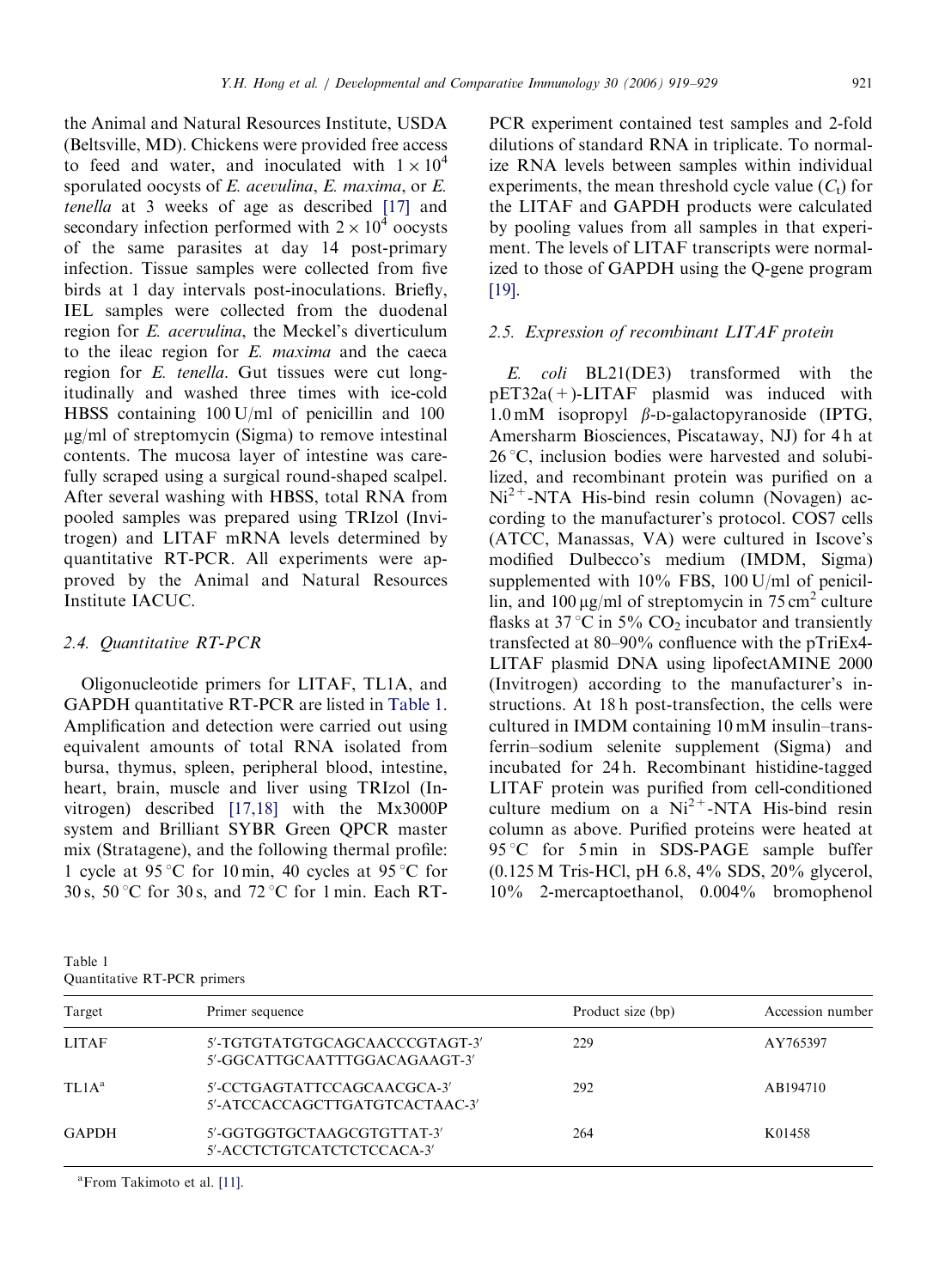the Animal and Natural Resources Institute, USDA (Beltsville, MD). Chickens were provided free access to feed and water, and inoculated with  $1 \times 10^4$ sporulated oocysts of E. acevulina, E. maxima, or E. tenella at 3 weeks of age as described [\[17\]](#page-9-0) and secondary infection performed with  $2 \times 10^4$  oocysts of the same parasites at day 14 post-primary infection. Tissue samples were collected from five birds at 1 day intervals post-inoculations. Briefly, IEL samples were collected from the duodenal region for E. acervulina, the Meckel's diverticulum to the ileac region for E. maxima and the caeca region for E. tenella. Gut tissues were cut longitudinally and washed three times with ice-cold HBSS containing 100 U/ml of penicillin and 100  $\mu$ g/ml of streptomycin (Sigma) to remove intestinal contents. The mucosa layer of intestine was carefully scraped using a surgical round-shaped scalpel. After several washing with HBSS, total RNA from pooled samples was prepared using TRIzol (Invitrogen) and LITAF mRNA levels determined by quantitative RT-PCR. All experiments were approved by the Animal and Natural Resources Institute IACUC.

#### 2.4. Quantitative RT-PCR

Oligonucleotide primers for LITAF, TL1A, and GAPDH quantitative RT-PCR are listed in Table 1. Amplification and detection were carried out using equivalent amounts of total RNA isolated from bursa, thymus, spleen, peripheral blood, intestine, heart, brain, muscle and liver using TRIzol (Invitrogen) described [\[17,18\]](#page-9-0) with the Mx3000P system and Brilliant SYBR Green QPCR master mix (Stratagene), and the following thermal profile: 1 cycle at 95 °C for 10 min, 40 cycles at 95 °C for 30 s,  $50^{\circ}$ C for 30 s, and  $72^{\circ}$ C for 1 min. Each RT-

Table 1 Quantitative RT-PCR primers

PCR experiment contained test samples and 2-fold dilutions of standard RNA in triplicate. To normalize RNA levels between samples within individual experiments, the mean threshold cycle value  $(C_t)$  for the LITAF and GAPDH products were calculated by pooling values from all samples in that experiment. The levels of LITAF transcripts were normalized to those of GAPDH using the Q-gene program [\[19\]](#page-9-0).

## 2.5. Expression of recombinant LITAF protein

E. coli BL21(DE3) transformed with the pET32a(+)-LITAF plasmid was induced with 1.0 mM isopropyl  $\beta$ -D-galactopyranoside (IPTG, Amersharm Biosciences, Piscataway, NJ) for 4 h at  $26^{\circ}$ C, inclusion bodies were harvested and solubilized, and recombinant protein was purified on a  $Ni<sup>2+</sup>$ -NTA His-bind resin column (Novagen) according to the manufacturer's protocol. COS7 cells (ATCC, Manassas, VA) were cultured in Iscove's modified Dulbecco's medium (IMDM, Sigma) supplemented with 10% FBS, 100 U/ml of penicillin, and 100  $\mu$ g/ml of streptomycin in 75 cm<sup>2</sup> culture flasks at 37 °C in 5% CO<sub>2</sub> incubator and transiently transfected at 80–90% confluence with the pTriEx4- LITAF plasmid DNA using lipofectAMINE 2000 (Invitrogen) according to the manufacturer's instructions. At 18 h post-transfection, the cells were cultured in IMDM containing 10 mM insulin–transferrin–sodium selenite supplement (Sigma) and incubated for 24 h. Recombinant histidine-tagged LITAF protein was purified from cell-conditioned culture medium on a  $Ni^{2+}$ -NTA His-bind resin column as above. Purified proteins were heated at  $95^{\circ}$ C for 5 min in SDS-PAGE sample buffer (0.125 M Tris-HCl, pH 6.8, 4% SDS, 20% glycerol, 10% 2-mercaptoethanol, 0.004% bromophenol

| Target            | Primer sequence                                                 | Product size (bp) | Accession number |
|-------------------|-----------------------------------------------------------------|-------------------|------------------|
| <b>LITAF</b>      | 5'-TGTGTATGTGCAGCAACCCGTAGT-3'<br>5'-GGCATTGCAATTTGGACAGAAGT-3' | 229               | AY765397         |
| TL1A <sup>a</sup> | 5'-CCTGAGTATTCCAGCAACGCA-3'<br>5'-ATCCACCAGCTTGATGTCACTAAC-3'   | 292               | AB194710         |
| <b>GAPDH</b>      | 5'-GGTGGTGCTAAGCGTGTTAT-3'<br>5'-ACCTCTGTCATCTCTCCACA-3'        | 264               | K01458           |

<sup>a</sup> From Takimoto et al. [\[11\]](#page-9-0).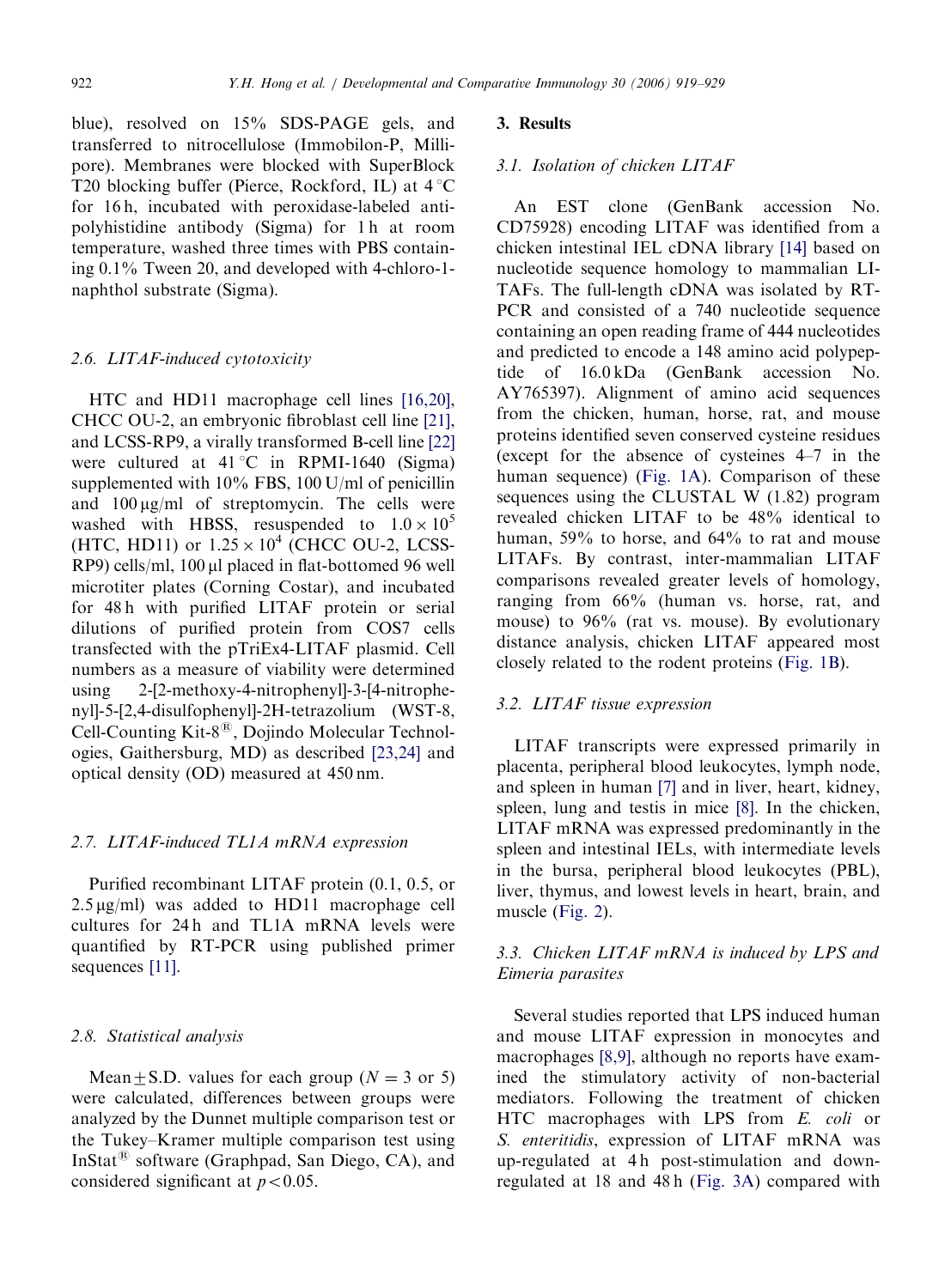blue), resolved on 15% SDS-PAGE gels, and transferred to nitrocellulose (Immobilon-P, Millipore). Membranes were blocked with SuperBlock T20 blocking buffer (Pierce, Rockford, IL) at  $4^{\circ}$ C for 16 h, incubated with peroxidase-labeled antipolyhistidine antibody (Sigma) for 1 h at room temperature, washed three times with PBS containing 0.1% Tween 20, and developed with 4-chloro-1 naphthol substrate (Sigma).

### 2.6. LITAF-induced cytotoxicity

HTC and HD11 macrophage cell lines [\[16,20\],](#page-9-0) CHCC OU-2, an embryonic fibroblast cell line [\[21\],](#page-9-0) and LCSS-RP9, a virally transformed B-cell line [\[22\]](#page-9-0) were cultured at  $41^{\circ}$ C in RPMI-1640 (Sigma) supplemented with 10% FBS, 100 U/ml of penicillin and  $100 \mu g/ml$  of streptomycin. The cells were washed with HBSS, resuspended to  $1.0 \times 10^5$ (HTC, HD11) or  $1.25 \times 10^4$  (CHCC OU-2, LCSS-RP9) cells/ml, 100 µl placed in flat-bottomed 96 well microtiter plates (Corning Costar), and incubated for 48 h with purified LITAF protein or serial dilutions of purified protein from COS7 cells transfected with the pTriEx4-LITAF plasmid. Cell numbers as a measure of viability were determined using 2-[2-methoxy-4-nitrophenyl]-3-[4-nitrophenyl]-5-[2,4-disulfophenyl]-2H-tetrazolium (WST-8, Cell-Counting Kit- $8^{\circledR}$ , Dojindo Molecular Technologies, Gaithersburg, MD) as described [\[23,24\]](#page-9-0) and optical density (OD) measured at 450 nm.

#### 2.7. LITAF-induced TL1A mRNA expression

Purified recombinant LITAF protein (0.1, 0.5, or  $2.5 \mu g/ml$ ) was added to HD11 macrophage cell cultures for 24h and TL1A mRNA levels were quantified by RT-PCR using published primer sequences [\[11\].](#page-9-0)

#### 2.8. Statistical analysis

Mean+S.D. values for each group ( $N = 3$  or 5) were calculated, differences between groups were analyzed by the Dunnet multiple comparison test or the Tukey–Kramer multiple comparison test using InStat<sup>®</sup> software (Graphpad, San Diego, CA), and considered significant at  $p < 0.05$ .

#### 3. Results

#### 3.1. Isolation of chicken LITAF

An EST clone (GenBank accession No. CD75928) encoding LITAF was identified from a chicken intestinal IEL cDNA library [\[14\]](#page-9-0) based on nucleotide sequence homology to mammalian LI-TAFs. The full-length cDNA was isolated by RT-PCR and consisted of a 740 nucleotide sequence containing an open reading frame of 444 nucleotides and predicted to encode a 148 amino acid polypeptide of 16.0 kDa (GenBank accession No. AY765397). Alignment of amino acid sequences from the chicken, human, horse, rat, and mouse proteins identified seven conserved cysteine residues (except for the absence of cysteines 4–7 in the human sequence) ([Fig. 1A](#page-4-0)). Comparison of these sequences using the CLUSTAL W (1.82) program revealed chicken LITAF to be 48% identical to human, 59% to horse, and 64% to rat and mouse LITAFs. By contrast, inter-mammalian LITAF comparisons revealed greater levels of homology, ranging from 66% (human vs. horse, rat, and mouse) to 96% (rat vs. mouse). By evolutionary distance analysis, chicken LITAF appeared most closely related to the rodent proteins ([Fig. 1B\)](#page-4-0).

### 3.2. LITAF tissue expression

LITAF transcripts were expressed primarily in placenta, peripheral blood leukocytes, lymph node, and spleen in human [\[7\]](#page-9-0) and in liver, heart, kidney, spleen, lung and testis in mice [\[8\].](#page-9-0) In the chicken, LITAF mRNA was expressed predominantly in the spleen and intestinal IELs, with intermediate levels in the bursa, peripheral blood leukocytes (PBL), liver, thymus, and lowest levels in heart, brain, and muscle ([Fig. 2](#page-4-0)).

# 3.3. Chicken LITAF mRNA is induced by LPS and Eimeria parasites

Several studies reported that LPS induced human and mouse LITAF expression in monocytes and macrophages [\[8,9\],](#page-9-0) although no reports have examined the stimulatory activity of non-bacterial mediators. Following the treatment of chicken HTC macrophages with LPS from E. coli or S. enteritidis, expression of LITAF mRNA was up-regulated at 4h post-stimulation and downregulated at 18 and 48 h [\(Fig. 3A\)](#page-5-0) compared with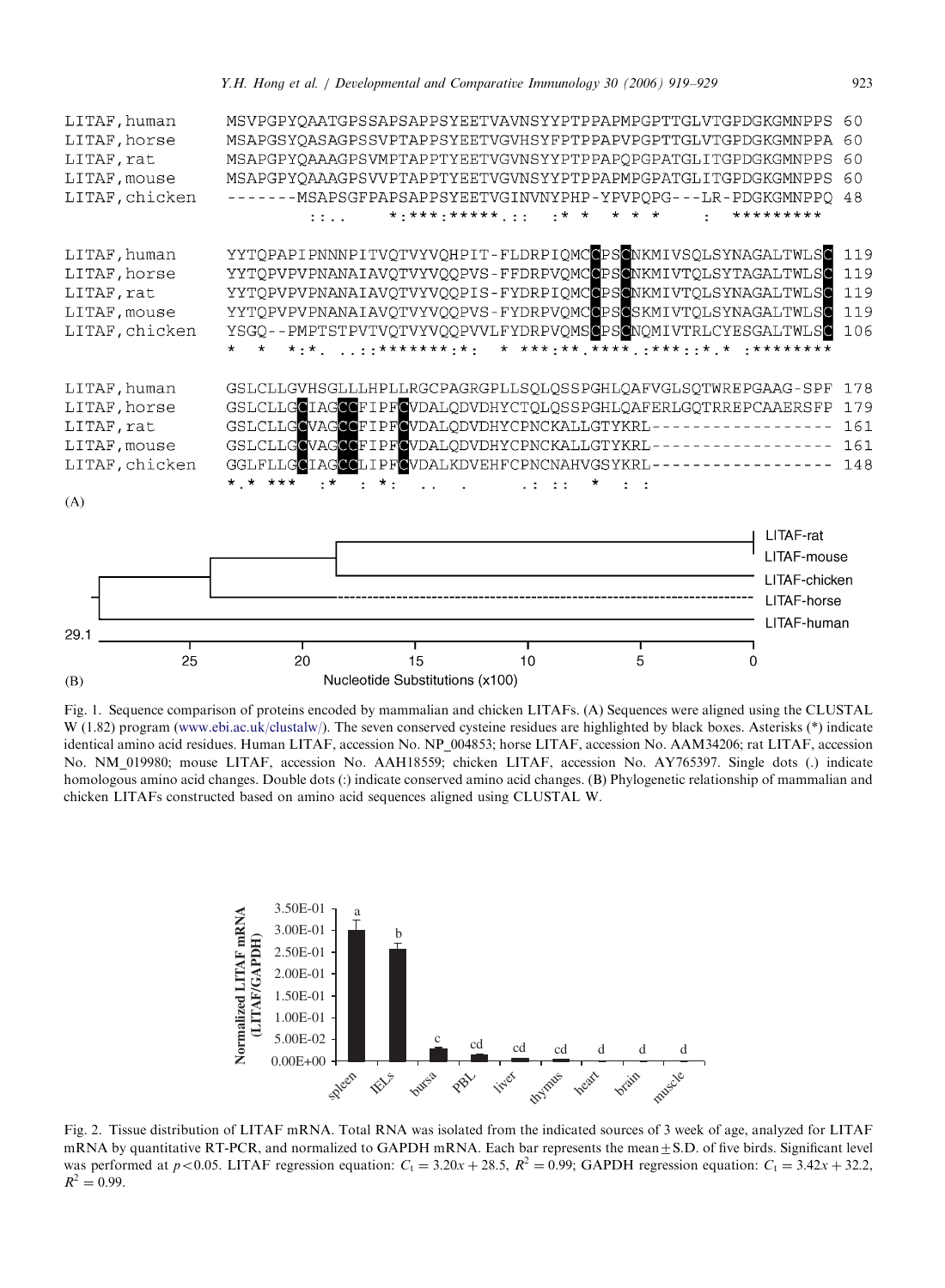<span id="page-4-0"></span>



 $(B)$ 

Fig. 1. Sequence comparison of proteins encoded by mammalian and chicken LITAFs. (A) Sequences were aligned using the CLUSTAL W (1.82) program ([www.ebi.ac.uk/clustalw/\)](http://www.ebi.ac.uk/clustalw/). The seven conserved cysteine residues are highlighted by black boxes. Asterisks (\*) indicate identical amino acid residues. Human LITAF, accession No. NP\_004853; horse LITAF, accession No. AAM34206; rat LITAF, accession No. NM\_019980; mouse LITAF, accession No. AAH18559; chicken LITAF, accession No. AY765397. Single dots (.) indicate homologous amino acid changes. Double dots (:) indicate conserved amino acid changes. (B) Phylogenetic relationship of mammalian and chicken LITAFs constructed based on amino acid sequences aligned using CLUSTAL W.



Fig. 2. Tissue distribution of LITAF mRNA. Total RNA was isolated from the indicated sources of 3 week of age, analyzed for LITAF mRNA by quantitative RT-PCR, and normalized to GAPDH mRNA. Each bar represents the mean $\pm$ S.D. of five birds. Significant level was performed at  $p < 0.05$ . LITAF regression equation:  $C_t = 3.20x + 28.5$ ,  $R^2 = 0.99$ ; GAPDH regression equation:  $C_t = 3.42x + 32.2$ ,  $R^2 = 0.99$ .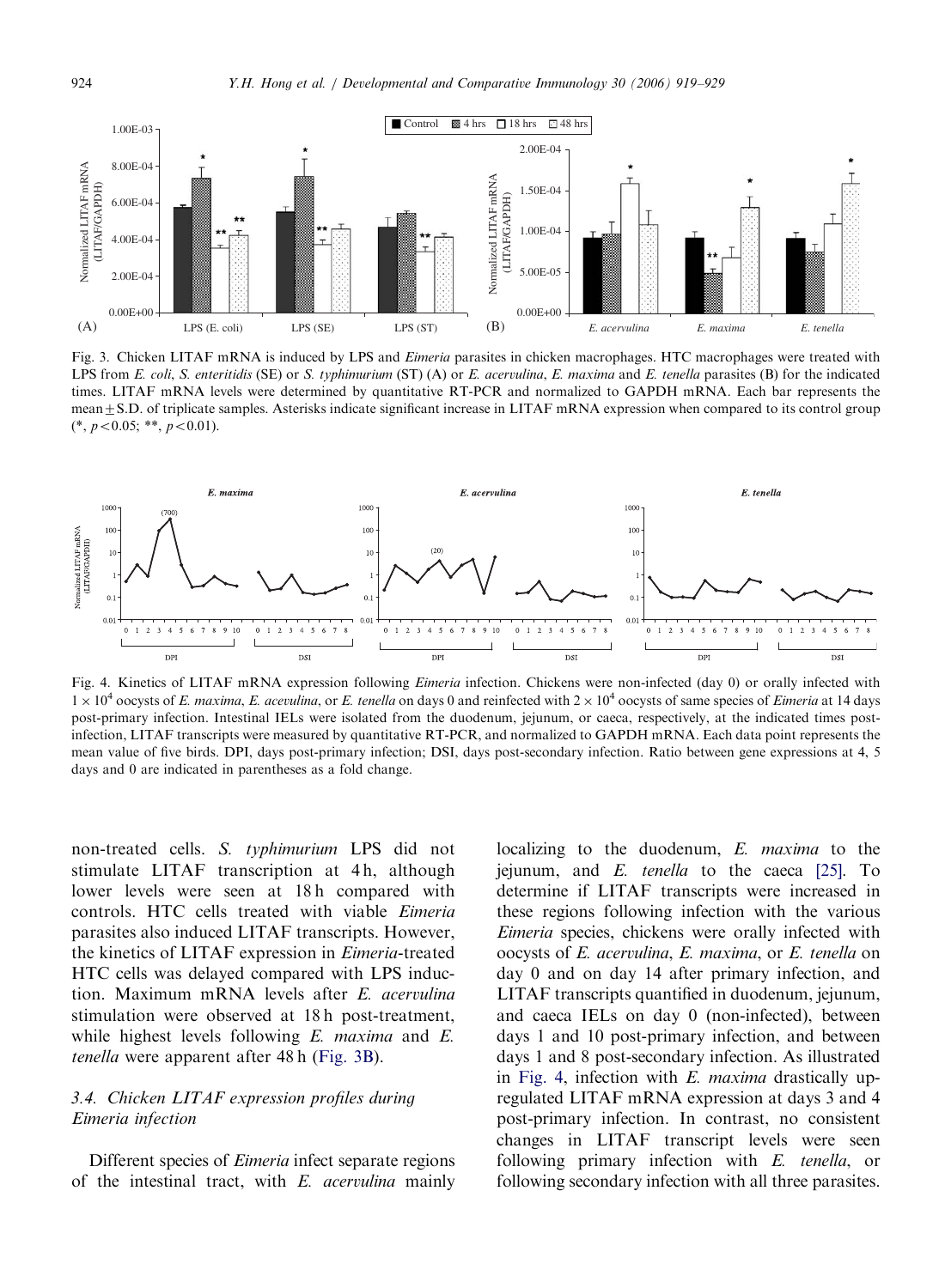<span id="page-5-0"></span>

Fig. 3. Chicken LITAF mRNA is induced by LPS and *Eimeria* parasites in chicken macrophages. HTC macrophages were treated with LPS from E. coli, S. enteritidis (SE) or S. typhimurium (ST) (A) or E. acervulina, E. maxima and E. tenella parasites (B) for the indicated times. LITAF mRNA levels were determined by quantitative RT-PCR and normalized to GAPDH mRNA. Each bar represents the mean $\pm$ S.D. of triplicate samples. Asterisks indicate significant increase in LITAF mRNA expression when compared to its control group  $(*, p < 0.05; **, p < 0.01).$ 



Fig. 4. Kinetics of LITAF mRNA expression following *Eimeria* infection. Chickens were non-infected (day 0) or orally infected with  $1 \times 10^4$  oocysts of E. maxima, E. acevulina, or E. tenella on days 0 and reinfected with  $2 \times 10^4$  oocysts of same species of Eimeria at 14 days post-primary infection. Intestinal IELs were isolated from the duodenum, jejunum, or caeca, respectively, at the indicated times postinfection, LITAF transcripts were measured by quantitative RT-PCR, and normalized to GAPDH mRNA. Each data point represents the mean value of five birds. DPI, days post-primary infection; DSI, days post-secondary infection. Ratio between gene expressions at 4, 5 days and 0 are indicated in parentheses as a fold change.

non-treated cells. S. typhimurium LPS did not stimulate LITAF transcription at 4 h, although lower levels were seen at 18h compared with controls. HTC cells treated with viable Eimeria parasites also induced LITAF transcripts. However, the kinetics of LITAF expression in Eimeria-treated HTC cells was delayed compared with LPS induction. Maximum mRNA levels after E. acervulina stimulation were observed at 18 h post-treatment, while highest levels following  $E$ . maxima and  $E$ . tenella were apparent after 48 h (Fig. 3B).

# 3.4. Chicken LITAF expression profiles during Eimeria infection

Different species of Eimeria infect separate regions of the intestinal tract, with  $E$ . acervulina mainly

localizing to the duodenum, E. *maxima* to the jejunum, and E. tenella to the caeca [\[25\]](#page-9-0). To determine if LITAF transcripts were increased in these regions following infection with the various Eimeria species, chickens were orally infected with oocysts of E. acervulina, E. maxima, or E. tenella on day 0 and on day 14 after primary infection, and LITAF transcripts quantified in duodenum, jejunum, and caeca IELs on day 0 (non-infected), between days 1 and 10 post-primary infection, and between days 1 and 8 post-secondary infection. As illustrated in Fig. 4, infection with E. maxima drastically upregulated LITAF mRNA expression at days 3 and 4 post-primary infection. In contrast, no consistent changes in LITAF transcript levels were seen following primary infection with E. tenella, or following secondary infection with all three parasites.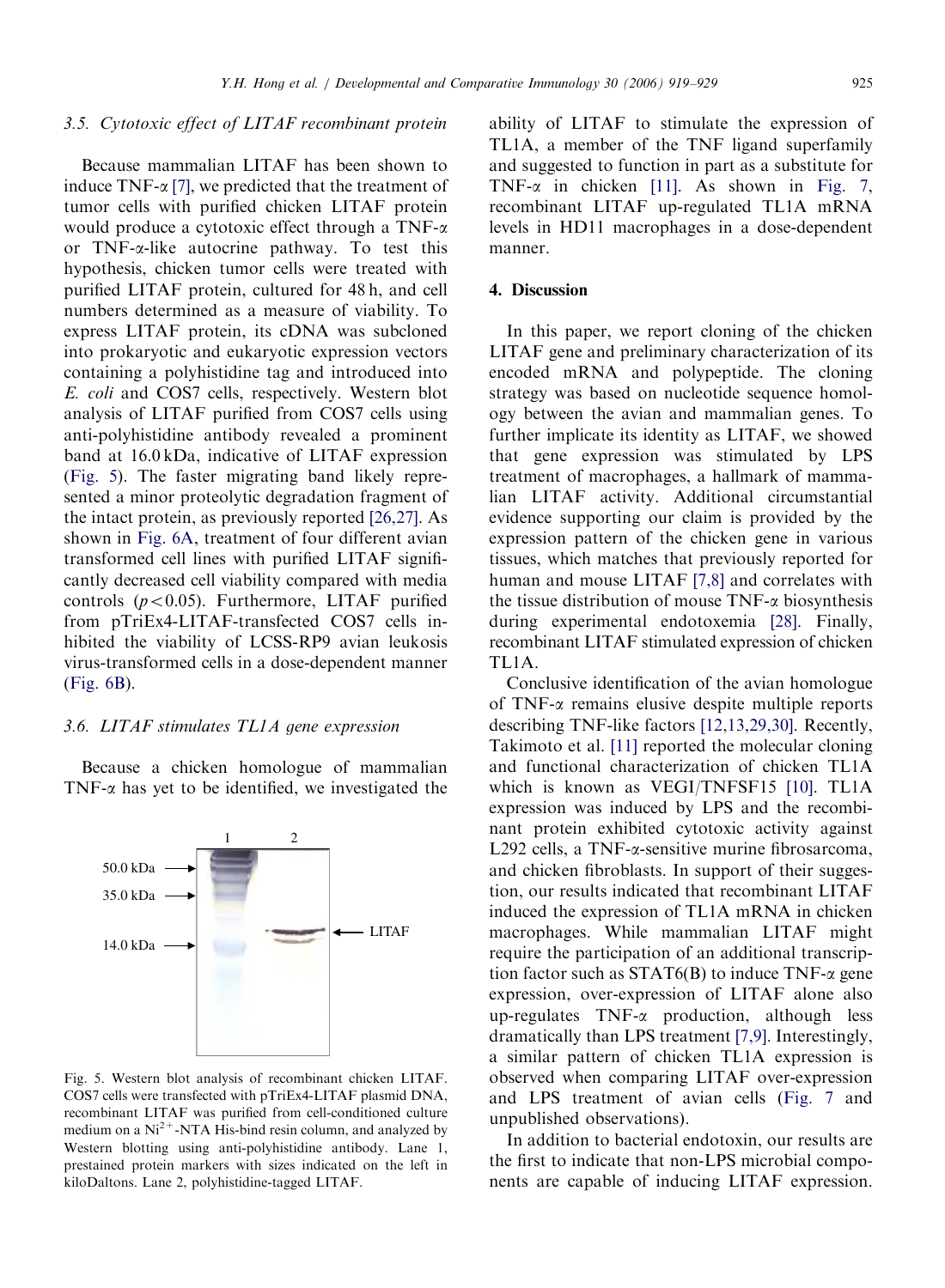#### 3.5. Cytotoxic effect of LITAF recombinant protein

Because mammalian LITAF has been shown to induce TNF- $\alpha$  [\[7\],](#page-9-0) we predicted that the treatment of tumor cells with purified chicken LITAF protein would produce a cytotoxic effect through a TNF- $\alpha$ or TNF-a-like autocrine pathway. To test this hypothesis, chicken tumor cells were treated with purified LITAF protein, cultured for 48 h, and cell numbers determined as a measure of viability. To express LITAF protein, its cDNA was subcloned into prokaryotic and eukaryotic expression vectors containing a polyhistidine tag and introduced into E. coli and COS7 cells, respectively. Western blot analysis of LITAF purified from COS7 cells using anti-polyhistidine antibody revealed a prominent band at 16.0 kDa, indicative of LITAF expression (Fig. 5). The faster migrating band likely represented a minor proteolytic degradation fragment of the intact protein, as previously reported [\[26,27\]](#page-9-0). As shown in [Fig. 6A,](#page-7-0) treatment of four different avian transformed cell lines with purified LITAF significantly decreased cell viability compared with media controls  $(p<0.05)$ . Furthermore, LITAF purified from pTriEx4-LITAF-transfected COS7 cells inhibited the viability of LCSS-RP9 avian leukosis virus-transformed cells in a dose-dependent manner [\(Fig. 6B](#page-7-0)).

## 3.6. LITAF stimulates TL1A gene expression

Because a chicken homologue of mammalian TNF- $\alpha$  has yet to be identified, we investigated the



Fig. 5. Western blot analysis of recombinant chicken LITAF. COS7 cells were transfected with pTriEx4-LITAF plasmid DNA, recombinant LITAF was purified from cell-conditioned culture medium on a  $Ni<sup>2+</sup> - NTA H$  is-bind resin column, and analyzed by Western blotting using anti-polyhistidine antibody. Lane 1, prestained protein markers with sizes indicated on the left in kiloDaltons. Lane 2, polyhistidine-tagged LITAF.

ability of LITAF to stimulate the expression of TL1A, a member of the TNF ligand superfamily and suggested to function in part as a substitute for TNF- $\alpha$  in chicken [\[11\]](#page-9-0). As shown in [Fig. 7](#page-8-0), recombinant LITAF up-regulated TL1A mRNA levels in HD11 macrophages in a dose-dependent manner.

#### 4. Discussion

In this paper, we report cloning of the chicken LITAF gene and preliminary characterization of its encoded mRNA and polypeptide. The cloning strategy was based on nucleotide sequence homology between the avian and mammalian genes. To further implicate its identity as LITAF, we showed that gene expression was stimulated by LPS treatment of macrophages, a hallmark of mammalian LITAF activity. Additional circumstantial evidence supporting our claim is provided by the expression pattern of the chicken gene in various tissues, which matches that previously reported for human and mouse LITAF [\[7,8\]](#page-9-0) and correlates with the tissue distribution of mouse  $TNF-\alpha$  biosynthesis during experimental endotoxemia [\[28\]](#page-9-0). Finally, recombinant LITAF stimulated expression of chicken TL1A.

Conclusive identification of the avian homologue of TNF- $\alpha$  remains elusive despite multiple reports describing TNF-like factors [\[12,13,29,30\]](#page-9-0). Recently, Takimoto et al. [\[11\]](#page-9-0) reported the molecular cloning and functional characterization of chicken TL1A which is known as VEGI/TNFSF15 [\[10\].](#page-9-0) TL1A expression was induced by LPS and the recombinant protein exhibited cytotoxic activity against L292 cells, a TNF-α-sensitive murine fibrosarcoma, and chicken fibroblasts. In support of their suggestion, our results indicated that recombinant LITAF induced the expression of TL1A mRNA in chicken macrophages. While mammalian LITAF might require the participation of an additional transcription factor such as  $STAT6(B)$  to induce TNF- $\alpha$  gene expression, over-expression of LITAF alone also up-regulates TNF-a production, although less dramatically than LPS treatment [\[7,9\].](#page-9-0) Interestingly, a similar pattern of chicken TL1A expression is observed when comparing LITAF over-expression and LPS treatment of avian cells [\(Fig. 7](#page-8-0) and unpublished observations).

In addition to bacterial endotoxin, our results are the first to indicate that non-LPS microbial components are capable of inducing LITAF expression.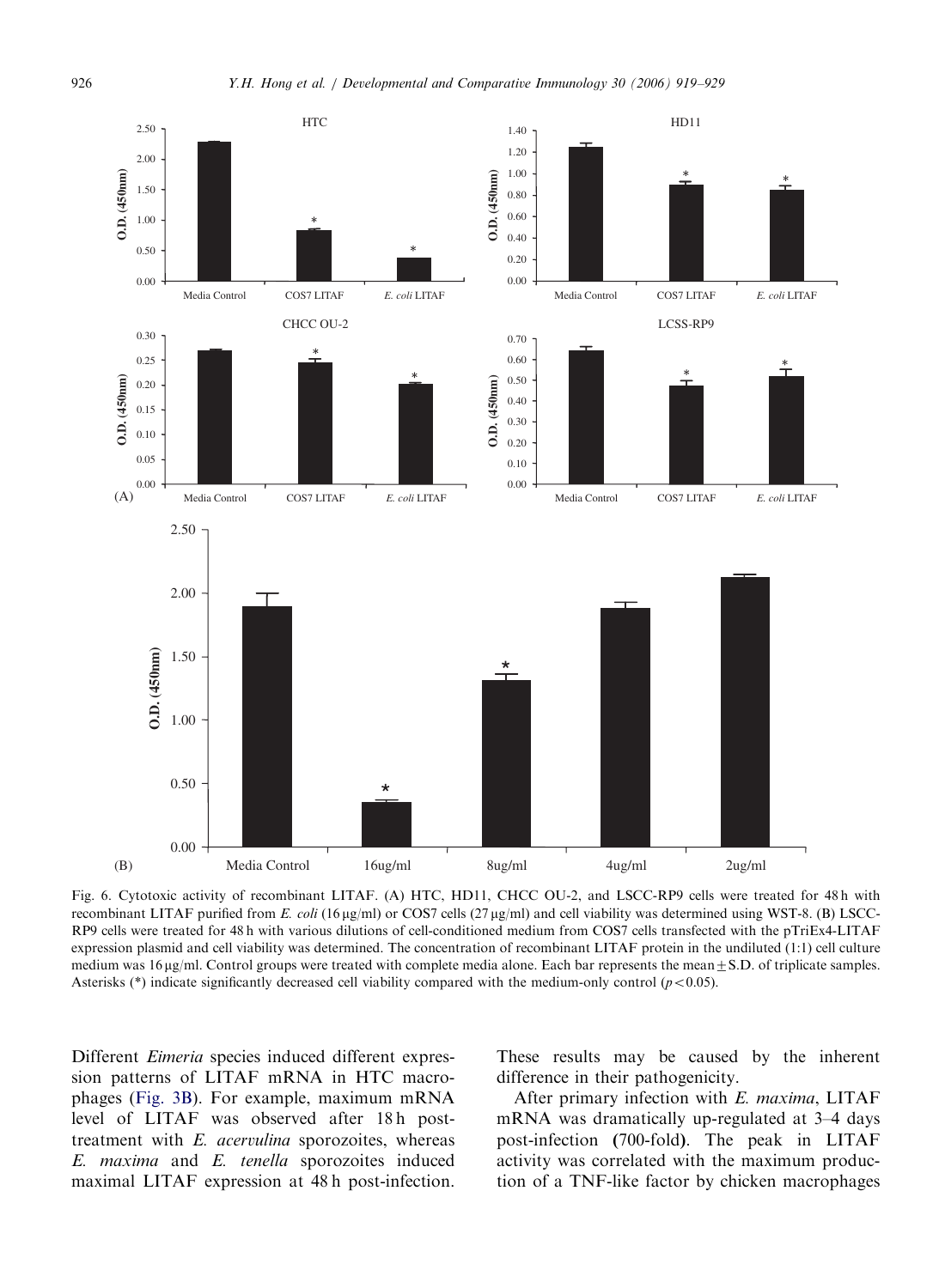<span id="page-7-0"></span>

Fig. 6. Cytotoxic activity of recombinant LITAF. (A) HTC, HD11, CHCC OU-2, and LSCC-RP9 cells were treated for 48 h with recombinant LITAF purified from E. coli (16  $\mu$ g/ml) or COS7 cells (27  $\mu$ g/ml) and cell viability was determined using WST-8. (B) LSCC-RP9 cells were treated for 48 h with various dilutions of cell-conditioned medium from COS7 cells transfected with the pTriEx4-LITAF expression plasmid and cell viability was determined. The concentration of recombinant LITAF protein in the undiluted (1:1) cell culture medium was  $16 \mu g/ml$ . Control groups were treated with complete media alone. Each bar represents the mean $\pm$ S.D. of triplicate samples. Asterisks (\*) indicate significantly decreased cell viability compared with the medium-only control  $(p<0.05)$ .

Different Eimeria species induced different expression patterns of LITAF mRNA in HTC macrophages ([Fig. 3B\)](#page-5-0). For example, maximum mRNA level of LITAF was observed after 18h posttreatment with E. acervulina sporozoites, whereas E. maxima and E. tenella sporozoites induced maximal LITAF expression at 48 h post-infection. These results may be caused by the inherent difference in their pathogenicity.

After primary infection with E. maxima, LITAF mRNA was dramatically up-regulated at 3–4 days post-infection (700-fold). The peak in LITAF activity was correlated with the maximum production of a TNF-like factor by chicken macrophages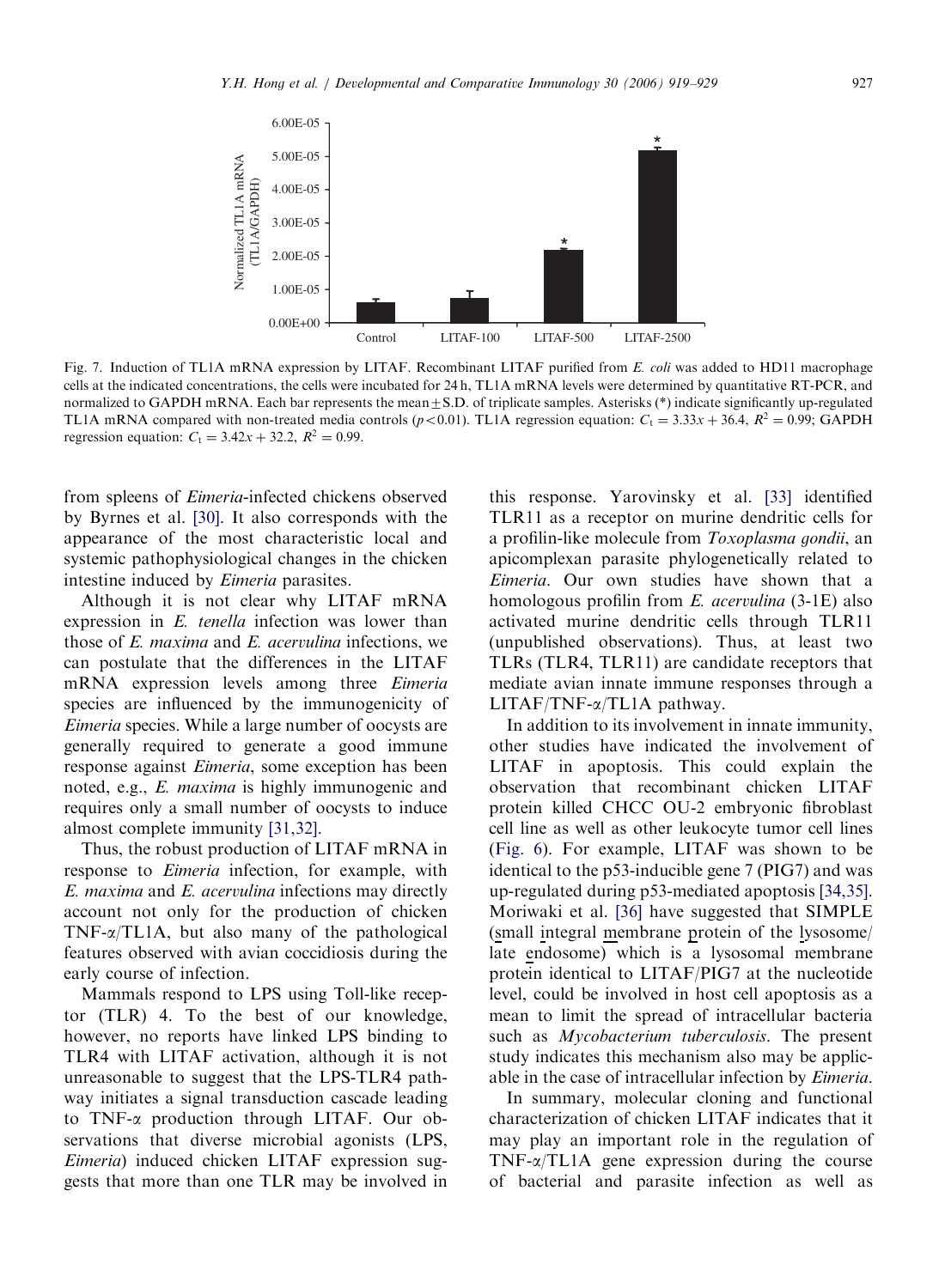<span id="page-8-0"></span>

Fig. 7. Induction of TL1A mRNA expression by LITAF. Recombinant LITAF purified from E. coli was added to HD11 macrophage cells at the indicated concentrations, the cells were incubated for 24 h, TL1A mRNA levels were determined by quantitative RT-PCR, and normalized to GAPDH mRNA. Each bar represents the mean $\pm$ S.D. of triplicate samples. Asterisks (\*) indicate significantly up-regulated TL1A mRNA compared with non-treated media controls ( $p$  < 0.01). TL1A regression equation:  $C_t = 3.33x + 36.4$ ,  $R^2 = 0.99$ ; GAPDH regression equation:  $C_t = 3.42x + 32.2$ ,  $R^2 = 0.99$ .

from spleens of Eimeria-infected chickens observed by Byrnes et al. [\[30\].](#page-10-0) It also corresponds with the appearance of the most characteristic local and systemic pathophysiological changes in the chicken intestine induced by Eimeria parasites.

Although it is not clear why LITAF mRNA expression in E. tenella infection was lower than those of  $E$ . maxima and  $E$ . acervulina infections, we can postulate that the differences in the LITAF mRNA expression levels among three Eimeria species are influenced by the immunogenicity of Eimeria species. While a large number of oocysts are generally required to generate a good immune response against Eimeria, some exception has been noted, e.g., E. maxima is highly immunogenic and requires only a small number of oocysts to induce almost complete immunity [\[31,32\]](#page-10-0).

Thus, the robust production of LITAF mRNA in response to Eimeria infection, for example, with E. maxima and E. acervulina infections may directly account not only for the production of chicken TNF-a/TL1A, but also many of the pathological features observed with avian coccidiosis during the early course of infection.

Mammals respond to LPS using Toll-like receptor (TLR) 4. To the best of our knowledge, however, no reports have linked LPS binding to TLR4 with LITAF activation, although it is not unreasonable to suggest that the LPS-TLR4 pathway initiates a signal transduction cascade leading to TNF-a production through LITAF. Our observations that diverse microbial agonists (LPS, Eimeria) induced chicken LITAF expression suggests that more than one TLR may be involved in

this response. Yarovinsky et al. [\[33\]](#page-10-0) identified TLR11 as a receptor on murine dendritic cells for a profilin-like molecule from Toxoplasma gondii, an apicomplexan parasite phylogenetically related to Eimeria. Our own studies have shown that a homologous profilin from  $E$ . acervulina  $(3-1E)$  also activated murine dendritic cells through TLR11 (unpublished observations). Thus, at least two TLRs (TLR4, TLR11) are candidate receptors that mediate avian innate immune responses through a LITAF/TNF- $\alpha$ /TL1A pathway.

In addition to its involvement in innate immunity, other studies have indicated the involvement of LITAF in apoptosis. This could explain the observation that recombinant chicken LITAF protein killed CHCC OU-2 embryonic fibroblast cell line as well as other leukocyte tumor cell lines [\(Fig. 6\)](#page-7-0). For example, LITAF was shown to be identical to the p53-inducible gene 7 (PIG7) and was up-regulated during p53-mediated apoptosis [\[34,35\]](#page-10-0). Moriwaki et al. [\[36\]](#page-10-0) have suggested that SIMPLE (small integral membrane protein of the lysosome/ late endosome) which is a lysosomal membrane protein identical to LITAF/PIG7 at the nucleotide level, could be involved in host cell apoptosis as a mean to limit the spread of intracellular bacteria such as Mycobacterium tuberculosis. The present study indicates this mechanism also may be applicable in the case of intracellular infection by Eimeria.

In summary, molecular cloning and functional characterization of chicken LITAF indicates that it may play an important role in the regulation of  $TNF-\alpha/TL1A$  gene expression during the course of bacterial and parasite infection as well as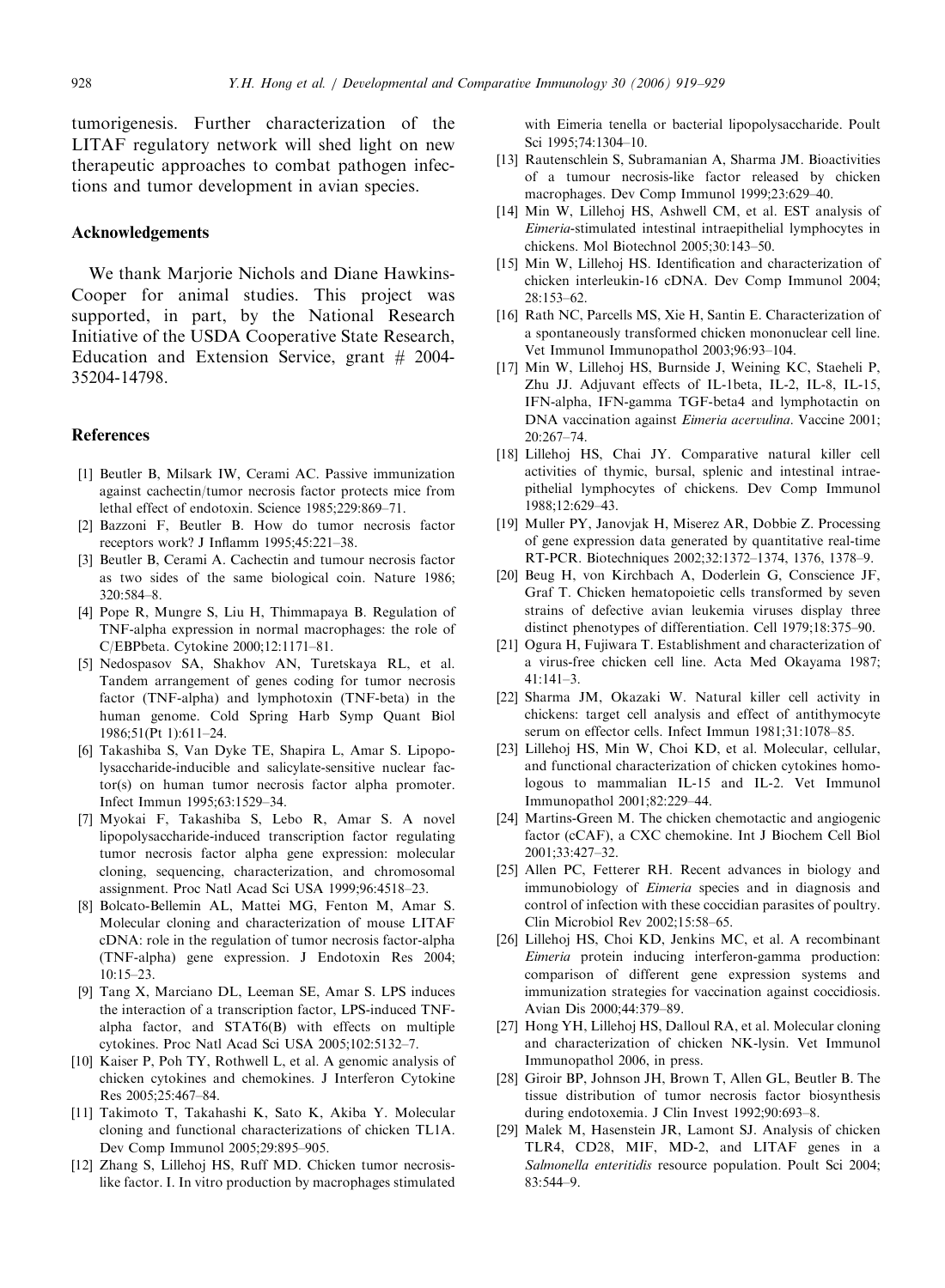<span id="page-9-0"></span>tumorigenesis. Further characterization of the LITAF regulatory network will shed light on new therapeutic approaches to combat pathogen infections and tumor development in avian species.

# Acknowledgements

We thank Marjorie Nichols and Diane Hawkins-Cooper for animal studies. This project was supported, in part, by the National Research Initiative of the USDA Cooperative State Research, Education and Extension Service, grant  $#2004$ -35204-14798.

## References

- [1] Beutler B, Milsark IW, Cerami AC. Passive immunization against cachectin/tumor necrosis factor protects mice from lethal effect of endotoxin. Science 1985;229:869–71.
- [2] Bazzoni F, Beutler B. How do tumor necrosis factor receptors work? J Inflamm 1995;45:221–38.
- [3] Beutler B, Cerami A. Cachectin and tumour necrosis factor as two sides of the same biological coin. Nature 1986; 320:584–8.
- [4] Pope R, Mungre S, Liu H, Thimmapaya B. Regulation of TNF-alpha expression in normal macrophages: the role of C/EBPbeta. Cytokine 2000;12:1171–81.
- [5] Nedospasov SA, Shakhov AN, Turetskaya RL, et al. Tandem arrangement of genes coding for tumor necrosis factor (TNF-alpha) and lymphotoxin (TNF-beta) in the human genome. Cold Spring Harb Symp Quant Biol 1986;51(Pt 1):611–24.
- [6] Takashiba S, Van Dyke TE, Shapira L, Amar S. Lipopolysaccharide-inducible and salicylate-sensitive nuclear factor(s) on human tumor necrosis factor alpha promoter. Infect Immun 1995;63:1529–34.
- [7] Myokai F, Takashiba S, Lebo R, Amar S. A novel lipopolysaccharide-induced transcription factor regulating tumor necrosis factor alpha gene expression: molecular cloning, sequencing, characterization, and chromosomal assignment. Proc Natl Acad Sci USA 1999;96:4518–23.
- [8] Bolcato-Bellemin AL, Mattei MG, Fenton M, Amar S. Molecular cloning and characterization of mouse LITAF cDNA: role in the regulation of tumor necrosis factor-alpha (TNF-alpha) gene expression. J Endotoxin Res 2004; 10:15–23.
- [9] Tang X, Marciano DL, Leeman SE, Amar S. LPS induces the interaction of a transcription factor, LPS-induced TNFalpha factor, and STAT6(B) with effects on multiple cytokines. Proc Natl Acad Sci USA 2005;102:5132–7.
- [10] Kaiser P, Poh TY, Rothwell L, et al. A genomic analysis of chicken cytokines and chemokines. J Interferon Cytokine Res 2005;25:467–84.
- [11] Takimoto T, Takahashi K, Sato K, Akiba Y. Molecular cloning and functional characterizations of chicken TL1A. Dev Comp Immunol 2005;29:895–905.
- [12] Zhang S, Lillehoj HS, Ruff MD. Chicken tumor necrosislike factor. I. In vitro production by macrophages stimulated

with Eimeria tenella or bacterial lipopolysaccharide. Poult Sci 1995;74:1304–10.

- [13] Rautenschlein S, Subramanian A, Sharma JM, Bioactivities of a tumour necrosis-like factor released by chicken macrophages. Dev Comp Immunol 1999;23:629–40.
- [14] Min W, Lillehoj HS, Ashwell CM, et al. EST analysis of Eimeria-stimulated intestinal intraepithelial lymphocytes in chickens. Mol Biotechnol 2005;30:143–50.
- [15] Min W, Lillehoj HS. Identification and characterization of chicken interleukin-16 cDNA. Dev Comp Immunol 2004; 28:153–62.
- [16] Rath NC, Parcells MS, Xie H, Santin E. Characterization of a spontaneously transformed chicken mononuclear cell line. Vet Immunol Immunopathol 2003;96:93–104.
- [17] Min W, Lillehoj HS, Burnside J, Weining KC, Staeheli P, Zhu JJ. Adjuvant effects of IL-1beta, IL-2, IL-8, IL-15, IFN-alpha, IFN-gamma TGF-beta4 and lymphotactin on DNA vaccination against Eimeria acervulina. Vaccine 2001; 20:267–74.
- [18] Lillehoj HS, Chai JY. Comparative natural killer cell activities of thymic, bursal, splenic and intestinal intraepithelial lymphocytes of chickens. Dev Comp Immunol 1988;12:629–43.
- [19] Muller PY, Janovjak H, Miserez AR, Dobbie Z. Processing of gene expression data generated by quantitative real-time RT-PCR. Biotechniques 2002;32:1372–1374, 1376, 1378–9.
- [20] Beug H, von Kirchbach A, Doderlein G, Conscience JF, Graf T. Chicken hematopoietic cells transformed by seven strains of defective avian leukemia viruses display three distinct phenotypes of differentiation. Cell 1979;18:375–90.
- [21] Ogura H, Fujiwara T. Establishment and characterization of a virus-free chicken cell line. Acta Med Okayama 1987; 41:141–3.
- [22] Sharma JM, Okazaki W. Natural killer cell activity in chickens: target cell analysis and effect of antithymocyte serum on effector cells. Infect Immun 1981;31:1078–85.
- [23] Lillehoj HS, Min W, Choi KD, et al. Molecular, cellular, and functional characterization of chicken cytokines homologous to mammalian IL-15 and IL-2. Vet Immunol Immunopathol 2001;82:229–44.
- [24] Martins-Green M. The chicken chemotactic and angiogenic factor (cCAF), a CXC chemokine. Int J Biochem Cell Biol 2001;33:427–32.
- [25] Allen PC, Fetterer RH. Recent advances in biology and immunobiology of Eimeria species and in diagnosis and control of infection with these coccidian parasites of poultry. Clin Microbiol Rev 2002;15:58–65.
- [26] Lillehoj HS, Choi KD, Jenkins MC, et al. A recombinant Eimeria protein inducing interferon-gamma production: comparison of different gene expression systems and immunization strategies for vaccination against coccidiosis. Avian Dis 2000;44:379–89.
- [27] Hong YH, Lillehoj HS, Dalloul RA, et al. Molecular cloning and characterization of chicken NK-lysin. Vet Immunol Immunopathol 2006, in press.
- [28] Giroir BP, Johnson JH, Brown T, Allen GL, Beutler B. The tissue distribution of tumor necrosis factor biosynthesis during endotoxemia. J Clin Invest 1992;90:693–8.
- [29] Malek M, Hasenstein JR, Lamont SJ. Analysis of chicken TLR4, CD28, MIF, MD-2, and LITAF genes in a Salmonella enteritidis resource population. Poult Sci 2004; 83:544–9.